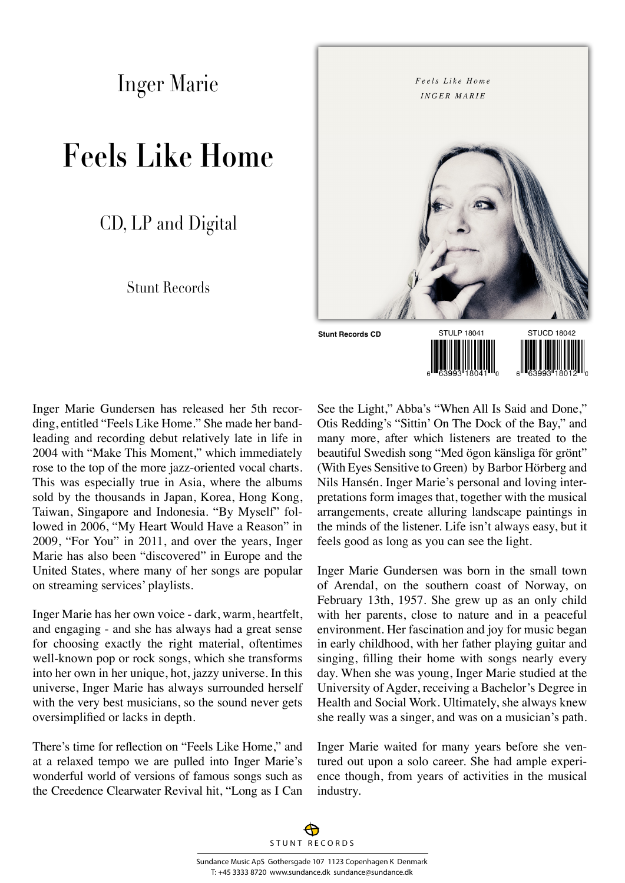Inger Marie

## **Feels Like Home**

CD, LP and Digital

## Stunt Records



Inger Marie Gundersen has released her 5th recording, entitled "Feels Like Home." She made her bandleading and recording debut relatively late in life in 2004 with "Make This Moment," which immediately rose to the top of the more jazz-oriented vocal charts. This was especially true in Asia, where the albums sold by the thousands in Japan, Korea, Hong Kong, Taiwan, Singapore and Indonesia. "By Myself" followed in 2006, "My Heart Would Have a Reason" in 2009, "For You" in 2011, and over the years, Inger Marie has also been "discovered" in Europe and the United States, where many of her songs are popular on streaming services' playlists.

Inger Marie has her own voice - dark, warm, heartfelt, and engaging - and she has always had a great sense for choosing exactly the right material, oftentimes well-known pop or rock songs, which she transforms into her own in her unique, hot, jazzy universe. In this universe, Inger Marie has always surrounded herself with the very best musicians, so the sound never gets oversimplified or lacks in depth.

There's time for reflection on "Feels Like Home," and at a relaxed tempo we are pulled into Inger Marie's wonderful world of versions of famous songs such as the Creedence Clearwater Revival hit, "Long as I Can

See the Light," Abba's "When All Is Said and Done," Otis Redding's "Sittin' On The Dock of the Bay," and many more, after which listeners are treated to the beautiful Swedish song "Med ögon känsliga för grönt" (With Eyes Sensitive to Green) by Barbor Hörberg and Nils Hansén. Inger Marie's personal and loving interpretations form images that, together with the musical arrangements, create alluring landscape paintings in the minds of the listener. Life isn't always easy, but it feels good as long as you can see the light.

Inger Marie Gundersen was born in the small town of Arendal, on the southern coast of Norway, on February 13th, 1957. She grew up as an only child with her parents, close to nature and in a peaceful environment. Her fascination and joy for music began in early childhood, with her father playing guitar and singing, filling their home with songs nearly every day. When she was young, Inger Marie studied at the University of Agder, receiving a Bachelor's Degree in Health and Social Work. Ultimately, she always knew she really was a singer, and was on a musician's path.

Inger Marie waited for many years before she ventured out upon a solo career. She had ample experience though, from years of activities in the musical industry.